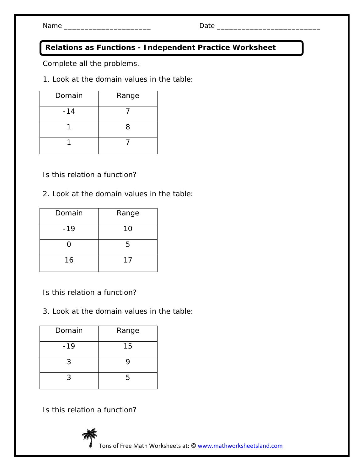Name \_\_\_\_\_\_\_\_\_\_\_\_\_\_\_\_\_\_\_\_\_ Date \_\_\_\_\_\_\_\_\_\_\_\_\_\_\_\_\_\_\_\_\_\_\_\_\_

## **Relations as Functions - Independent Practice Worksheet**

Complete all the problems.

1. Look at the domain values in the table:

| Domain | Range |
|--------|-------|
| $-14$  |       |
|        | 8     |
|        |       |

Is this relation a function?

2. Look at the domain values in the table:

| Domain | Range |
|--------|-------|
| $-19$  | 10    |
| ( )    | 5     |
| 16     | 17    |

- Is this relation a function?
- 3. Look at the domain values in the table:

| Domain | Range |
|--------|-------|
| $-19$  | 15    |
| 3      | g     |
| 3      | 5     |

Is this relation a function?



Tons of Free Math Worksheets at: © www.mathworksheetsland.com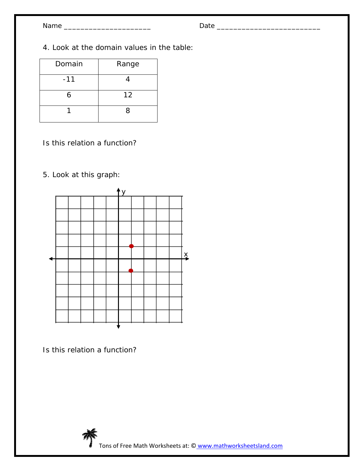4. Look at the domain values in the table:

| Domain | Range |
|--------|-------|
| $-11$  |       |
| 6      | 12    |
|        | 8     |

- Is this relation a function?
- 5. Look at this graph:



Is this relation a function?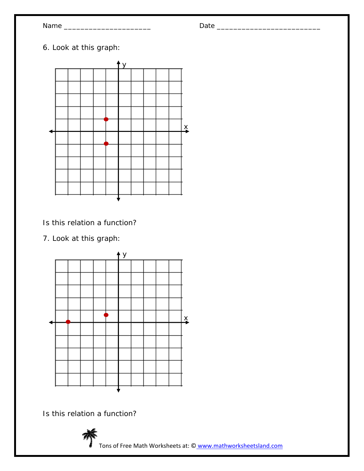| Я | ł  |
|---|----|
|   | ſT |

## Name \_\_\_\_\_\_\_\_\_\_\_\_\_\_\_\_\_\_\_\_\_ Date \_\_\_\_\_\_\_\_\_\_\_\_\_\_\_\_\_\_\_\_\_\_\_\_\_

6. Look at this graph:



Is this relation a function?

7. Look at this graph:



Is this relation a function?



Tons of Free Math Worksheets at: © www.mathworksheetsland.com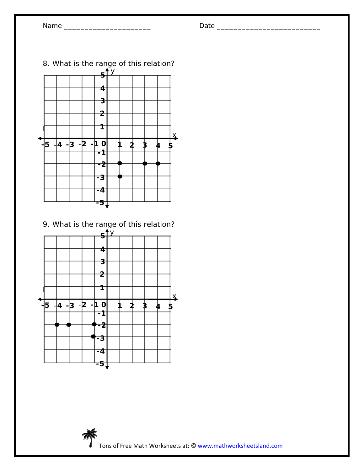

9. What is the range of this relation?